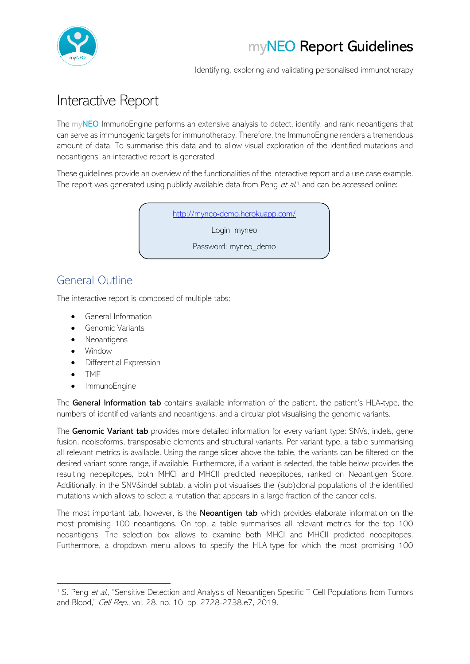

Identifying, exploring and validating personalised immunotherapy

# Interactive Report

The myNEO ImmunoEngine performs an extensive analysis to detect, identify, and rank neoantigens that can serve as immunogenic targets for immunotherapy. Therefore, the ImmunoEngine renders a tremendous amount of data. To summarise this data and to allow visual exploration of the identified mutations and neoantigens, an interactive report is generated.

These guidelines provide an overview of the functionalities of the interactive report and a use case example. The report was generated using publicly available data from Peng et al.<sup>1</sup> and can be accessed online:

<http://myneo-demo.herokuapp.com/>

Login: myneo

Password: myneo demo

### General Outline

The interactive report is composed of multiple tabs:

- General Information
- Genomic Variants
- Neoantigens
- Window
- Differential Expression
- TME
- ImmunoEngine

The General Information tab contains available information of the patient, the patient's HLA-type, the numbers of identified variants and neoantigens, and a circular plot visualising the genomic variants.

The Genomic Variant tab provides more detailed information for every variant type: SNVs, indels, gene fusion, neoisoforms, transposable elements and structural variants. Per variant type, a table summarising all relevant metrics is available. Using the range slider above the table, the variants can be filtered on the desired variant score range, if available. Furthermore, if a variant is selected, the table below provides the resulting neoepitopes, both MHCI and MHCII predicted neoepitopes, ranked on Neoantigen Score. Additionally, in the SNV&indel subtab, a violin plot visualises the (sub)clonal populations of the identified mutations which allows to select a mutation that appears in a large fraction of the cancer cells.

The most important tab, however, is the **Neoantigen tab** which provides elaborate information on the most promising 100 neoantigens. On top, a table summarises all relevant metrics for the top 100 neoantigens. The selection box allows to examine both MHCI and MHCII predicted neoepitopes. Furthermore, a dropdown menu allows to specify the HLA-type for which the most promising 100

<sup>&</sup>lt;sup>1</sup> S. Peng et al., "Sensitive Detection and Analysis of Neoantigen-Specific T Cell Populations from Tumors and Blood," Cell Rep., vol. 28, no. 10, pp. 2728-2738.e7, 2019.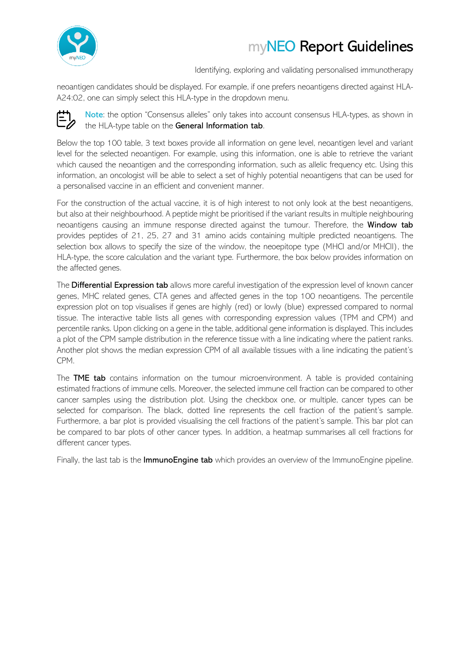

Identifying, exploring and validating personalised immunotherapy

neoantigen candidates should be displayed. For example, if one prefers neoantigens directed against HLA-A24:02, one can simply select this HLA-type in the dropdown menu.



Note: the option "Consensus alleles" only takes into account consensus HLA-types, as shown in the HLA-type table on the General Information tab.

Below the top 100 table, 3 text boxes provide all information on gene level, neoantigen level and variant level for the selected neoantigen. For example, using this information, one is able to retrieve the variant which caused the neoantigen and the corresponding information, such as allelic frequency etc. Using this information, an oncologist will be able to select a set of highly potential neoantigens that can be used for a personalised vaccine in an efficient and convenient manner.

For the construction of the actual vaccine, it is of high interest to not only look at the best neoantigens, but also at their neighbourhood. A peptide might be prioritised if the variant results in multiple neighbouring neoantigens causing an immune response directed against the tumour. Therefore, the Window tab provides peptides of 21, 25, 27 and 31 amino acids containing multiple predicted neoantigens. The selection box allows to specify the size of the window, the neoepitope type (MHCI and/or MHCII), the HLA-type, the score calculation and the variant type. Furthermore, the box below provides information on the affected genes.

The Differential Expression tab allows more careful investigation of the expression level of known cancer genes, MHC related genes, CTA genes and affected genes in the top 100 neoantigens. The percentile expression plot on top visualises if genes are highly (red) or lowly (blue) expressed compared to normal tissue. The interactive table lists all genes with corresponding expression values (TPM and CPM) and percentile ranks. Upon clicking on a gene in the table, additional gene information is displayed. This includes a plot of the CPM sample distribution in the reference tissue with a line indicating where the patient ranks. Another plot shows the median expression CPM of all available tissues with a line indicating the patient's CPM.

The **TME tab** contains information on the tumour microenvironment. A table is provided containing estimated fractions of immune cells. Moreover, the selected immune cell fraction can be compared to other cancer samples using the distribution plot. Using the checkbox one, or multiple, cancer types can be selected for comparison. The black, dotted line represents the cell fraction of the patient's sample. Furthermore, a bar plot is provided visualising the cell fractions of the patient's sample. This bar plot can be compared to bar plots of other cancer types. In addition, a heatmap summarises all cell fractions for different cancer types.

Finally, the last tab is the **ImmunoEngine tab** which provides an overview of the ImmunoEngine pipeline.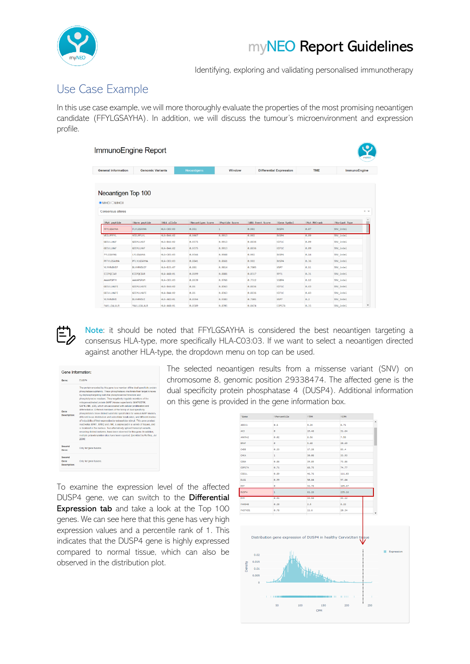

Identifying, exploring and validating personalised immunotherapy

### Use Case Example

In this use case example, we will more thoroughly evaluate the properties of the most promising neoantigen candidate (FFYLGSAYHA). In addition, we will discuss the tumour's microenvironment and expression profile.

| ImmunoEngine Report                                    |                         |                    |                    |                |                  |                                |              |               | myNEO                             |
|--------------------------------------------------------|-------------------------|--------------------|--------------------|----------------|------------------|--------------------------------|--------------|---------------|-----------------------------------|
| <b>General Information</b>                             | <b>Genomic Variants</b> |                    | <b>Neoantigens</b> | Window         |                  | <b>Differential Expression</b> | <b>TME</b>   | ImmunoEngine  |                                   |
|                                                        |                         |                    |                    |                |                  |                                |              |               |                                   |
| $\odot$ MHCl $\odot$ MHCll<br><b>Consensus alleles</b> | Neoantigen Top 100      |                    |                    |                |                  |                                |              |               | $\times$ $\overline{\phantom{0}}$ |
| #Mut peptide                                           | #Norm peptide           | <b>#HLA</b> allele | #Neoantigen Score  | #Peptide Score | #ARA Event Score | #Gene Symbol                   | #Mut MHCrank | #Variant Type |                                   |
| FFYLGSAYHA                                             | FLYLGSAYHA              | HLA-C03:03         | 0.951              | $\mathbf{1}$   | 0.902            | DUSP4                          | 0.07         | SNV_indel     |                                   |
| VEILPFFYL                                              | VEILPFLYL               | <b>HLA-B44:02</b>  | 0.9467             | 0.9913         | 0.902            | DUSP4                          | 0.09         | SNV_indel     |                                   |
| <b>GEEVLLHAF</b>                                       | <b>GEEMLLHAF</b>        | <b>HLA-B44:02</b>  | 0.9375             | 0.9913         | 0.8836           | KIF1C                          | 0.09         | SNV_indel     |                                   |
| <b>GEEVLLHAF</b>                                       | <b>GEEMLLHAF</b>        | HLA-B44:02         | 0.9375             | 0.9913         | 0.8836           | KIF1C                          | 0.09         | SNV_indel     |                                   |
| <b>FYLGSAYHA</b>                                       | LYLGSAYHA               | HLA-C03:03         | 0.9344             | 0.9668         | 0.902            | DUSP4                          | 0.14         | SNV indel     |                                   |
| PFFYLGSAYHA                                            | PFLYLGSAYHA             | HLA-C03:03         | 0.8841             | 0.8661         | 0.902            | DUSP4                          | 0.36         | SNV indel     |                                   |
| <b>YLYHRVDVIF</b>                                      | DLYHRVDVIF              | <b>HLA-B15:07</b>  | 0.881              | 0.9814         | 0.7805           | USP7                           | 0.11         | SNV indel     |                                   |
| EIIPOCIAR                                              | KIIPOCIAR               | <b>HLA-A68:01</b>  | 0.8699             | 0.8881         | 0.8517           | RPF1                           | 0.31         | SNV_indel     |                                   |
| <b>AAAAPSPFM</b>                                       | AAAAPSPVM               | HLA-C03:03         | 0.8639             | 0.9766         | 0.7512           | SSBP4                          | 0.12         | SNV indel     |                                   |
| <b>GEEVLLHAFE</b>                                      | <b>GEEMLLHAFE</b>       | <b>HLA-B44:02</b>  | 0.86               | 0.8363         | 0.8836           | KIF1C                          | 0.43         | SNV_indel     |                                   |
| <b>GEEVLLHAFE</b>                                      | GEEMLLHAFE              | <b>HLA-B44:02</b>  | 0.86               | 0.8363         | 0.8836           | KIF1C                          | 0.43         | SNV indel     |                                   |
| <b>YLYHRVDVI</b>                                       | DLYHRVDVI               | HLA-A02:01         | 0.8594             | 0.9383         | 0.7805           | USP7                           | 0.2          | SNV indel     |                                   |
|                                                        |                         |                    |                    |                |                  |                                |              |               |                                   |



Note: it should be noted that FFYLGSAYHA is considered the best neoantigen targeting a consensus HLA-type, more specifically HLA-C03:03. If we want to select a neoantigen directed against another HLA-type, the dropdown menu on top can be used.

| Gene Information:              |                                                                                                                                                                                                                                                                                                                                                                                                                                                                                                                                                                                                                                                                                                                                                                                                                                                                                                                                                                                                                                                                                                      |  |  |  |  |
|--------------------------------|------------------------------------------------------------------------------------------------------------------------------------------------------------------------------------------------------------------------------------------------------------------------------------------------------------------------------------------------------------------------------------------------------------------------------------------------------------------------------------------------------------------------------------------------------------------------------------------------------------------------------------------------------------------------------------------------------------------------------------------------------------------------------------------------------------------------------------------------------------------------------------------------------------------------------------------------------------------------------------------------------------------------------------------------------------------------------------------------------|--|--|--|--|
| Gene:                          | DUSP4                                                                                                                                                                                                                                                                                                                                                                                                                                                                                                                                                                                                                                                                                                                                                                                                                                                                                                                                                                                                                                                                                                |  |  |  |  |
| Gene<br>Description:           | The protein encoded by this gene is a member of the dual specificity protein<br>phosphatase subfamily. These phosphatases inactivate their target kingses<br>by dephosphorylating both the phosphoserine/threonine and<br>phosphotyrosine residues. They negatively regulate members of the<br>mitopen-activated protein (MAP) kinase superfamily (MAPK/ERK)<br>SAPK/JNK, p38), which are associated with cellular proliferation and<br>differentiation. Different members of the family of dual specificity.<br>phosphatases show distinct substrate specificities for various MAP kinases.<br>different tissue distribution and subcellular localization, and different modes<br>of inducibility of their expression by extracellular stimuli. This gene product<br>inactivates ERK1. ERK2 and JNK, is expressed in a variety of tissues, and<br>is localized in the nucleus. Two alternatively spliced transcript variants,<br>encoding distinct isoforms, have been observed for this gene. In addition,<br>multiple polyadenyiation sites have been reported. Iprovided by RefSeq. Jul<br>20081 |  |  |  |  |
| Second<br>Gene:                | Only for gene fusions.                                                                                                                                                                                                                                                                                                                                                                                                                                                                                                                                                                                                                                                                                                                                                                                                                                                                                                                                                                                                                                                                               |  |  |  |  |
| Second<br>Gene<br>Description: | Only for gene fusions.                                                                                                                                                                                                                                                                                                                                                                                                                                                                                                                                                                                                                                                                                                                                                                                                                                                                                                                                                                                                                                                                               |  |  |  |  |

The selected neoantigen results from a missense variant (SNV) on chromosome 8, genomic position 29338474. The affected gene is the dual specificity protein phosphatase 4 (DUSP4). Additional information on this gene is provided in the gene information box.

To examine the expression level of the affected DUSP4 gene, we can switch to the Differential Expression tab and take a look at the Top 100 genes. We can see here that this gene has very high expression values and a percentile rank of 1. This indicates that the DUSP4 gene is highly expressed compared to normal tissue, which can also be observed in the distribution plot.

| Gene           | #Percentile  | <b>OTPN</b> | ≑срм   |   |
|----------------|--------------|-------------|--------|---|
| ADCK1          | 0.5          | 9.24        | 8.71   | Ă |
| AK3            | ø            | 19.48       | 31.64  |   |
| ANKRA2         | 0.02         | 8.56        | 7.55   |   |
| <b>BRAF</b>    | ø            | 5.68        | 20.69  |   |
| CHD8           | 0.23         | 17.28       | 83.4   |   |
| CHKA           | $\mathbf{1}$ | 30.08       | 33.93  |   |
| COG4           | 0.86         | 39.85       | 73.86  |   |
| COPS7A         | 0.71         | 68.75       | 74.77  |   |
| CSE1L          | 0.89         | 46.76       | 111.03 |   |
| DLG1           | 0.99         | 50.64       | 97.64  |   |
| DST            | ø            | 32.78       | 165.67 |   |
| DUSP4          | 1            | 61.26       | 235.16 |   |
| <b>DYN</b>     | 0.91         | 33.58       | 43.12  |   |
| <b>FANS48</b>  | 0.28         | 2.5         | 8.22   |   |
| <b>FASTKD1</b> | 0.78         | 11.6        | 20.34  |   |

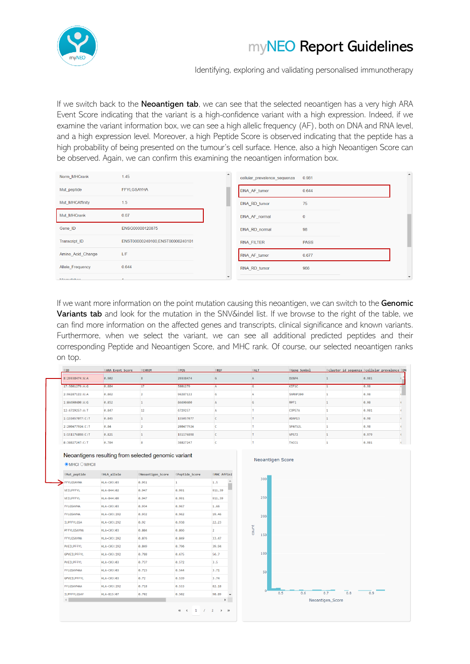

Identifying, exploring and validating personalised immunotherapy

If we switch back to the **Neoantigen tab**, we can see that the selected neoantigen has a very high ARA Event Score indicating that the variant is a high-confidence variant with a high expression. Indeed, if we examine the variant information box, we can see a high allelic frequency (AF), both on DNA and RNA level, and a high expression level. Moreover, a high Peptide Score is observed indicating that the peptide has a high probability of being presented on the tumour's cell surface. Hence, also a high Neoantigen Score can be observed. Again, we can confirm this examining the neoantigen information box.

| Norm MHCrank      | 1.45                            | $\Delta$ | cellular prevalence sequenza | 0.981       |  | $\blacktriangle$         |
|-------------------|---------------------------------|----------|------------------------------|-------------|--|--------------------------|
| Mut_peptide       | <b>FFYLGSAYHA</b>               |          | DNA_AF_tumor                 | 0.644       |  |                          |
| Mut MHCAffinity   | 1.5                             |          | DNA_RD_tumor                 | 75          |  |                          |
| Mut MHCrank       | 0.07                            |          | DNA AF normal                | 0           |  |                          |
| Gene_ID           | ENSG00000120875                 |          | DNA RD normal                | 98          |  |                          |
| Transcript ID     | ENST00000240100,ENST00000240101 |          | RNA FILTER                   | <b>PASS</b> |  |                          |
| Amino Acid Change | L/F                             |          | RNA AF tumor                 | 0.677       |  |                          |
| Allele_Frequency  | 0.644                           |          | RNA RD tumor                 | 966         |  |                          |
| Microsofoboo      |                                 |          |                              |             |  | $\overline{\phantom{a}}$ |

If we want more information on the point mutation causing this neoantigen, we can switch to the Genomic Variants tab and look for the mutation in the SNV&indel list. If we browse to the right of the table, we can find more information on the affected genes and transcripts, clinical significance and known variants. Furthermore, when we select the variant, we can see all additional predicted peptides and their corresponding Peptide and Neoantigen Score, and MHC rank. Of course, our selected neoantigen ranks on top.

|                            | #ARA Event Score                                    | CHROM             | $\triangle$ POS | REF                      | #ALT             | Gene Symbol  |              | ≑cluster id sequenza ÷cellular prevalence ≑DN |  |
|----------------------------|-----------------------------------------------------|-------------------|-----------------|--------------------------|------------------|--------------|--------------|-----------------------------------------------|--|
| 8:29338474:G:A             | 0.902                                               | $\mathbf{8}$      | 29338474        | G                        | A                | DUSP4        | 1            | 0.981                                         |  |
| 17:5001279:A:G             | 0.884                                               | 17                | 5001279         | A                        | G                | KIF1C        | 1            | 0.98                                          |  |
| 2:96287122:G:A             | 0.862                                               | $\overline{2}$    | 96287122        | G                        |                  | SNRNP200     |              | 0.98                                          |  |
| 1:84490400:A:G             | 0.852                                               |                   | 84490400        | А                        | G                | RPF1         |              | 0.98                                          |  |
| 12:6729257:A:T             | 0.847                                               | 12                | 6729257         | А                        |                  | COPS7A       |              | 0.981                                         |  |
| 1:155057077:C:T            | 0.845                                               | 1                 | 155057077       | c                        |                  | ADAM15       | 1            | 0.98                                          |  |
| 2:200477924:C:T            | 0.84                                                | $\overline{2}$    | 200477924       | c                        |                  | SPATS2L      | 1            | 0.98                                          |  |
| 1:151176898:C:T            | 0.821                                               | 1                 | 151176898       | c                        |                  | <b>VPS72</b> | 1            | 0.979                                         |  |
|                            |                                                     |                   | 38827247        | <b>C</b>                 | T                | TACC1        |              | 0.981                                         |  |
| 8:38827247:C:T             | 0.784                                               | 8                 |                 |                          |                  |              | $\mathbf{1}$ |                                               |  |
| $\odot$ MHCl $\odot$ MHCll | Neoantigens resulting from selected genomic variant |                   |                 |                          | Neoantigen Score |              |              |                                               |  |
| $Mut$ peptide              | ≑HLA allele                                         | #Neoantigen Score | ≑Peptide Score  | ≑MHC Affini <sup>-</sup> |                  |              |              |                                               |  |
| FFYLGSAYHA                 | HLA-C03:03                                          | 0.951             | 1               | 1.5                      | 300              |              |              |                                               |  |
| VEILPFFYL                  | HLA-B44:02                                          | 0.947             | 0.991           | 911.39                   |                  |              |              |                                               |  |
| VEILPFFYL                  | HLA-B44:09                                          | 0.947             | 0.991           | 911.39                   | 250              |              |              |                                               |  |
| FYLGSAYHA                  | HLA-C03:03                                          | 0.934             | 0.967           | 1.66                     |                  |              |              |                                               |  |
| FYLGSAYHA                  | HLA-C03:292                                         | 0.932             | 0.962           | 19.46                    | 200              |              |              |                                               |  |



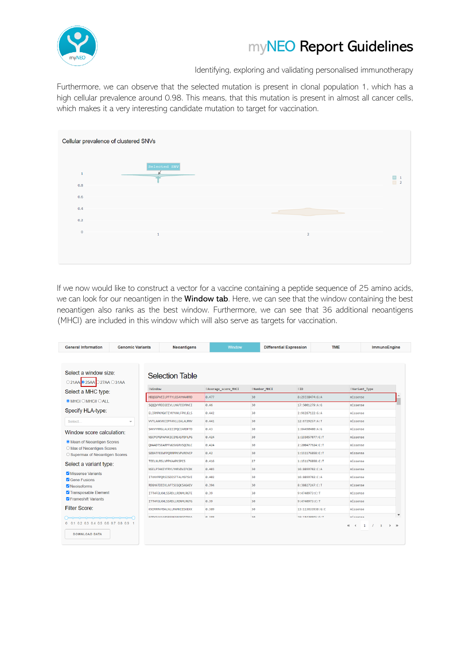

Identifying, exploring and validating personalised immunotherapy

Furthermore, we can observe that the selected mutation is present in clonal population 1, which has a high cellular prevalence around 0.98. This means, that this mutation is present in almost all cancer cells, which makes it a very interesting candidate mutation to target for vaccination.



If we now would like to construct a vector for a vaccine containing a peptide sequence of 25 amino acids, we can look for our neoantigen in the Window tab. Here, we can see that the window containing the best neoantigen also ranks as the best window. Furthermore, we can see that 36 additional neoantigens (MHCI) are included in this window which will also serve as targets for vaccination.

| <b>General Information</b>                                       | <b>Genomic Variants</b>  | <b>Neoantigens</b>               | Window              | <b>Differential Expression</b> |                  | <b>TME</b>       | ImmunoEngine                                                               |
|------------------------------------------------------------------|--------------------------|----------------------------------|---------------------|--------------------------------|------------------|------------------|----------------------------------------------------------------------------|
| Select a window size:<br>○21AA 35AA 27AA 31AA                    |                          | <b>Selection Table</b>           |                     |                                |                  |                  |                                                                            |
| Select a MHC type:                                               |                          | $=$ Window                       | #Average score MHCI | #Number MHCI                   | $\oplus$ ID      | Wariant Type     |                                                                            |
| $\odot$ MHCl $\odot$ MHCll $\odot$ ALL                           |                          | HDOGGPVEILPFFYLGSAYHAARRD        | 0.477               | 30 <sup>°</sup>                | 8:29338474:G:A   | missense         |                                                                            |
|                                                                  |                          | SOOOVYRDIGEEVLLHAFEGYNVCI        | 0.46                | 30                             | 17:5001279:A:G   | missense         |                                                                            |
| Specify HLA-type:                                                |                          | ELIRMPKMGKTIYKYVHLFPKLELS        | 0.442               | 30                             | 2:96287122:G:A   | missense         |                                                                            |
| Select                                                           | $\overline{\phantom{a}}$ | VVTLAAKVKCIPFAVLLEALALRNV        | 0.441               | 30                             | 12:6729257:A:T   | missense         |                                                                            |
| Window score calculation:                                        |                          | SHVYYRRGLALKEIIPQCIARDFTD        | 0.43                | 30                             | 1:84490400:A:G   | missense         |                                                                            |
|                                                                  |                          | NSCPCPGPAPAKTCTMEASTDELPG        | 0.424               | 30                             | 1:155057077: C:T | missense         |                                                                            |
| <b>O</b> Mean of Neoantigen Scores<br>O Max of Neoantigen Scores |                          | QHAADTSEARPFWGSVGRVSQCNLC        | 0.424               | 30                             | 2:200477924:C:T  | missense         |                                                                            |
| ○ Supermax of Neoantigen Scores                                  |                          | SDDATFEEWFPQRRPPKVPVREVCP        | 0.42                | 30                             | 1:151176898:C:T  | missense         |                                                                            |
| Select a variant type:                                           |                          | TEELNLRSLVPPKAAPKSPCS            | 0.416               | 27                             | 1:151176898: C:T | missense         |                                                                            |
|                                                                  |                          | <b>NSELPTAKEYERYLYHRVDVTECDK</b> | 0.493               | 3B                             | 16:8899702:C:A   | missense         |                                                                            |
| Missense Variants<br>Gene Fusions                                |                          | ITVNYPPQRSISDISTTALMSFSVI        | 0.402               | 30                             | 16:8899702:C:A   | missense         |                                                                            |
| <b>Z</b> Neoisoforms                                             |                          | RDGHATDEEKLAFTSCGQKSAGAEV        | 0.394               | 30                             | 8:38827247:C:T   | missense         |                                                                            |
| Transposable Element                                             |                          | <b>ITTHFELKHLSSRDLLRDNMLRGTE</b> | 0.39                | 30                             | 9:4740973:C:T    | missense         |                                                                            |
| <b>Z</b> Frameshift Variants                                     |                          | <b>ITTHFELKHLSSRDLLRDNMLRGTG</b> | 0.39                | 30                             | 9:4740973:C:T    | missense         |                                                                            |
| <b>Filter Score:</b>                                             |                          | KNIRRRVYDALNLLMAMNIISKEKK        | 0.389               | 30                             | 13:113633938:G:C | missense         |                                                                            |
|                                                                  |                          | <b>EODVSAAAADSDEMGSMADGDTMAA</b> | A 388               | 20 <sub>a</sub>                | 10-10420045-0-T  | miccanca         | $\overline{\phantom{a}}$                                                   |
| 0 0.1 0.2 0.3 0.4 0.5 0.6 0.7 0.8 0.9 1<br><b>DOWNLOAD DATA</b>  |                          |                                  |                     |                                |                  | $\ll$<br>$\prec$ | $\mathbf{1}$<br>$\mathbf{B}$<br>$\prime$<br>$\rightarrow$<br>$\rightarrow$ |